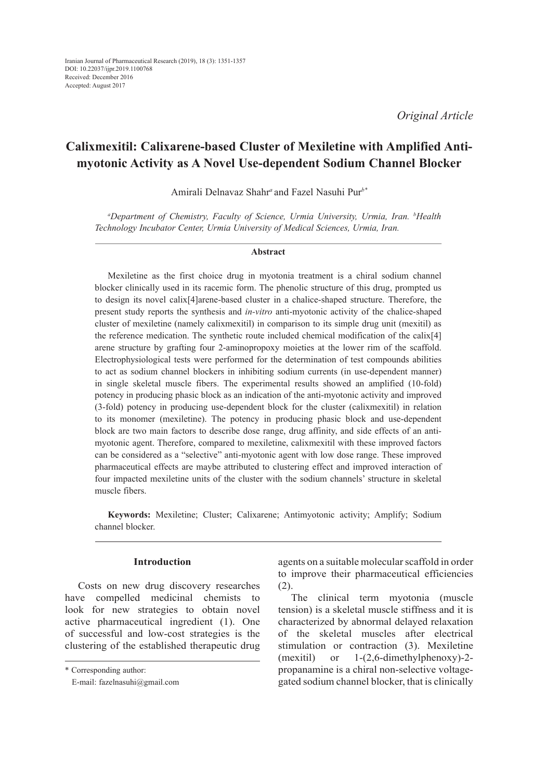*Original Article*

# **Calixmexitil: Calixarene-based Cluster of Mexiletine with Amplified Antimyotonic Activity as A Novel Use-dependent Sodium Channel Blocker**

Amirali Delnavaz Shahr*<sup>a</sup>* and Fazel Nasuhi Pur*b\**

*a Department of Chemistry, Faculty of Science, Urmia University, Urmia, Iran. b Health Technology Incubator Center, Urmia University of Medical Sciences, Urmia, Iran.*

### **Abstract**

Mexiletine as the first choice drug in myotonia treatment is a chiral sodium channel blocker clinically used in its racemic form. The phenolic structure of this drug, prompted us to design its novel calix[4]arene-based cluster in a chalice-shaped structure. Therefore, the present study reports the synthesis and *in-vitro* anti-myotonic activity of the chalice-shaped cluster of mexiletine (namely calixmexitil) in comparison to its simple drug unit (mexitil) as the reference medication. The synthetic route included chemical modification of the calix[4] arene structure by grafting four 2-aminopropoxy moieties at the lower rim of the scaffold. Electrophysiological tests were performed for the determination of test compounds abilities to act as sodium channel blockers in inhibiting sodium currents (in use-dependent manner) in single skeletal muscle fibers. The experimental results showed an amplified (10-fold) potency in producing phasic block as an indication of the anti-myotonic activity and improved (3-fold) potency in producing use-dependent block for the cluster (calixmexitil) in relation to its monomer (mexiletine). The potency in producing phasic block and use-dependent block are two main factors to describe dose range, drug affinity, and side effects of an antimyotonic agent. Therefore, compared to mexiletine, calixmexitil with these improved factors can be considered as a "selective" anti-myotonic agent with low dose range. These improved pharmaceutical effects are maybe attributed to clustering effect and improved interaction of four impacted mexiletine units of the cluster with the sodium channels' structure in skeletal muscle fibers.

**Keywords:** Mexiletine; Cluster; Calixarene; Antimyotonic activity; Amplify; Sodium channel blocker.

## **Introduction**

Costs on new drug discovery researches have compelled medicinal chemists to look for new strategies to obtain novel active pharmaceutical ingredient (1). One of successful and low-cost strategies is the clustering of the established therapeutic drug agents on a suitable molecular scaffold in order to improve their pharmaceutical efficiencies (2).

The clinical term myotonia (muscle tension) is a skeletal muscle stiffness and it is characterized by abnormal delayed relaxation of the skeletal muscles after electrical stimulation or contraction (3). Mexiletine (mexitil) or 1-(2,6-dimethylphenoxy)-2 propanamine is a chiral non-selective voltagegated sodium channel blocker, that is clinically

<sup>\*</sup> Corresponding author:

E-mail: fazelnasuhi@gmail.com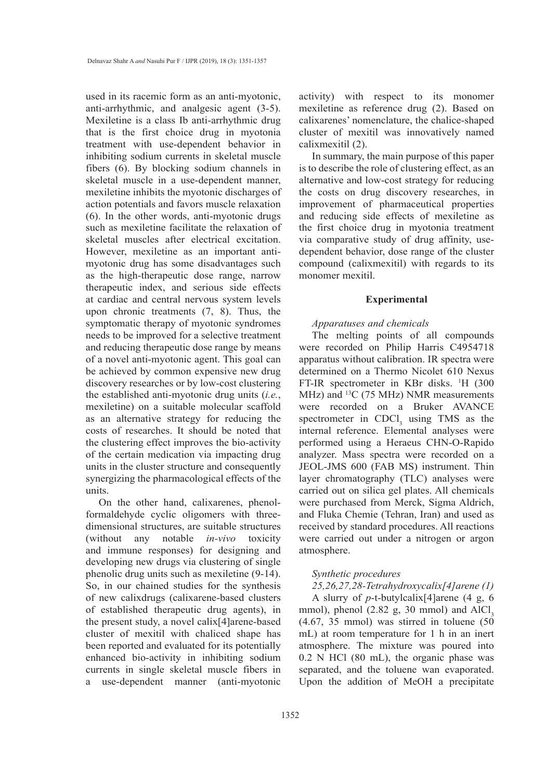used in its racemic form as an anti-myotonic, anti-arrhythmic, and analgesic agent (3-5). Mexiletine is a class Ib anti-arrhythmic drug that is the first choice drug in myotonia treatment with use-dependent behavior in inhibiting sodium currents in skeletal muscle fibers (6). By blocking sodium channels in skeletal muscle in a use-dependent manner, mexiletine inhibits the myotonic discharges of action potentials and favors muscle relaxation (6). In the other words, anti-myotonic drugs such as mexiletine facilitate the relaxation of skeletal muscles after electrical excitation. However, mexiletine as an important antimyotonic drug has some disadvantages such as the high-therapeutic dose range, narrow therapeutic index, and serious side effects at cardiac and central nervous system levels upon chronic treatments (7, 8). Thus, the symptomatic therapy of myotonic syndromes needs to be improved for a selective treatment and reducing therapeutic dose range by means of a novel anti-myotonic agent. This goal can be achieved by common expensive new drug discovery researches or by low-cost clustering the established anti-myotonic drug units (*i.e.*, mexiletine) on a suitable molecular scaffold as an alternative strategy for reducing the costs of researches. It should be noted that the clustering effect improves the bio-activity of the certain medication via impacting drug units in the cluster structure and consequently synergizing the pharmacological effects of the units.

On the other hand, calixarenes, phenolformaldehyde cyclic oligomers with threedimensional structures, are suitable structures (without any notable *in-vivo* toxicity and immune responses) for designing and developing new drugs via clustering of single phenolic drug units such as mexiletine (9-14). So, in our chained studies for the synthesis of new calixdrugs (calixarene-based clusters of established therapeutic drug agents), in the present study, a novel calix[4]arene-based cluster of mexitil with chaliced shape has been reported and evaluated for its potentially enhanced bio-activity in inhibiting sodium currents in single skeletal muscle fibers in a use-dependent manner (anti-myotonic

activity) with respect to its monomer mexiletine as reference drug (2). Based on calixarenes' nomenclature, the chalice-shaped cluster of mexitil was innovatively named calixmexitil (2).

In summary, the main purpose of this paper is to describe the role of clustering effect, as an alternative and low-cost strategy for reducing the costs on drug discovery researches, in improvement of pharmaceutical properties and reducing side effects of mexiletine as the first choice drug in myotonia treatment via comparative study of drug affinity, usedependent behavior, dose range of the cluster compound (calixmexitil) with regards to its monomer mexitil.

## **Experimental**

### *Apparatuses and chemicals*

The melting points of all compounds were recorded on Philip Harris C4954718 apparatus without calibration. IR spectra were determined on a Thermo Nicolet 610 Nexus FT-IR spectrometer in KBr disks. <sup>1</sup>H (300 MHz) and <sup>13</sup>C (75 MHz) NMR measurements were recorded on a Bruker AVANCE spectrometer in  $CDCl<sub>3</sub>$  using TMS as the internal reference. Elemental analyses were performed using a Heraeus CHN-O-Rapido analyzer. Mass spectra were recorded on a JEOL-JMS 600 (FAB MS) instrument. Thin layer chromatography (TLC) analyses were carried out on silica gel plates. All chemicals were purchased from Merck, Sigma Aldrich, and Fluka Chemie (Tehran, Iran) and used as received by standard procedures. All reactions were carried out under a nitrogen or argon atmosphere.

# *Synthetic procedures*

*25,26,27,28-Tetrahydroxycalix[4]arene (1)* A slurry of *p*-t-butylcalix[4]arene (4 g, 6 mmol), phenol  $(2.82 \text{ g}, 30 \text{ mmol})$  and  $AICI<sub>3</sub>$  $(4.67, 35 \text{ mmol})$  was stirred in toluene  $(50)$ mL) at room temperature for 1 h in an inert atmosphere. The mixture was poured into 0.2 N HCl (80 mL), the organic phase was separated, and the toluene wan evaporated. Upon the addition of MeOH a precipitate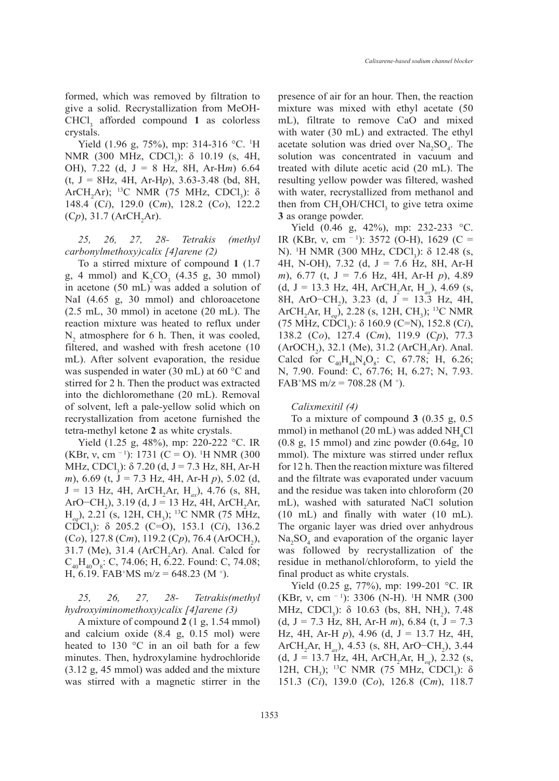formed, which was removed by filtration to give a solid. Recrystallization from MeOH- $CHCl<sub>3</sub>$  afforded compound 1 as colorless crystals.

Yield (1.96 g, 75%), mp: 314-316 °C. <sup>1</sup>H NMR (300 MHz, CDCl<sub>3</sub>):  $\delta$  10.19 (s, 4H, OH), 7.22 (d, J = 8 Hz, 8H, Ar-H*m*) 6.64 (t, J = 8Hz, 4H, Ar-H*p*), 3.63-3.48 (bd, 8H, ArCH<sub>2</sub>Ar); <sup>13</sup>C NMR (75 MHz, CDCl<sub>3</sub>):  $\delta$ 148.4 (C*i*), 129.0 (C*m*), 128.2 (C*o*), 122.2  $(Cp)$ , 31.7 (ArCH<sub>2</sub>Ar).

*25, 26, 27, 28- Tetrakis (methyl carbonylmethoxy)calix [4]arene (2)*

To a stirred mixture of compound **1** (1.7 g, 4 mmol) and  $K_2CO_3$  (4.35 g, 30 mmol) in acetone (50 mL) was added a solution of NaI (4.65 g, 30 mmol) and chloroacetone (2.5 mL, 30 mmol) in acetone (20 mL). The reaction mixture was heated to reflux under  $N_2$  atmosphere for 6 h. Then, it was cooled, filtered, and washed with fresh acetone (10 mL). After solvent evaporation, the residue was suspended in water (30 mL) at 60 °C and stirred for 2 h. Then the product was extracted into the dichloromethane (20 mL). Removal of solvent, left a pale-yellow solid which on recrystallization from acetone furnished the tetra-methyl ketone **2** as white crystals.

Yield (1.25 g, 48%), mp: 220-222 °C. IR (KBr, v, cm <sup>- 1</sup>): 1731 (C = O). <sup>1</sup>H NMR (300 MHz, CDCl<sub>3</sub>):  $\delta$  7.20 (d, J = 7.3 Hz, 8H, Ar-H *m*), 6.69 (t, J = 7.3 Hz, 4H, Ar-H *p*), 5.02 (d, J = 13 Hz, 4H, ArCH2 Ar, H*ax*), 4.76 (s, 8H, ArO−CH<sub>2</sub>), 3.19 (d, J = 13 Hz, 4H, ArCH<sub>2</sub>Ar, H<sub>eq</sub>), 2.21 (s, 12H, CH<sub>3</sub>); <sup>13</sup>C NMR (75 MHz, CDCl<sub>3</sub>): δ 205.2 (C=O), 153.1 (C*i*), 136.2 (Co), 127.8 (Cm), 119.2 (Cp), 76.4 (ArOCH<sub>2</sub>),  $31.7$  (Me),  $31.4$  (ArCH<sub>2</sub>Ar). Anal. Calcd for  $C_{40}H_{40}O_8$ : C, 74.06; H, 6.22. Found: C, 74.08; H, 6.19. FAB<sup>+</sup>MS m/z = 648.23 (M <sup>+</sup>).

*25, 26, 27, 28- Tetrakis(methyl hydroxyiminomethoxy)calix [4]arene (3)*

A mixture of compound **2** (1 g, 1.54 mmol) and calcium oxide (8.4 g, 0.15 mol) were heated to 130 °C in an oil bath for a few minutes. Then, hydroxylamine hydrochloride (3.12 g, 45 mmol) was added and the mixture was stirred with a magnetic stirrer in the presence of air for an hour. Then, the reaction mixture was mixed with ethyl acetate (50 mL), filtrate to remove CaO and mixed with water (30 mL) and extracted. The ethyl acetate solution was dried over  $Na<sub>2</sub>SO<sub>4</sub>$ . The solution was concentrated in vacuum and treated with dilute acetic acid (20 mL). The resulting yellow powder was filtered, washed with water, recrystallized from methanol and then from  $CH_3OH/CHCl_3$  to give tetra oxime **3** as orange powder.

Yield (0.46 g, 42%), mp: 232-233 °C. IR (KBr, v, cm <sup>- 1</sup>): 3572 (O-H), 1629 (C = N). <sup>1</sup>H NMR (300 MHz, CDCl<sub>3</sub>): δ 12.48 (s, 4H, N-OH), 7.32 (d, J = 7.6 Hz, 8H, Ar-H *m*), 6.77 (t, J = 7.6 Hz, 4H, Ar-H *p*), 4.89  $(d, J = 13.3 \text{ Hz}, 4\text{H}, \text{ArCH}_2\text{Ar}, \text{H}_{ax})$ , 4.69 (s, 8H, ArO−CH<sub>2</sub>), 3.23 (d, J = 13.3 Hz, 4H, ArCH<sub>2</sub>Ar, H<sub>eq</sub>), 2.28 (s, 12H, CH<sub>3</sub>); <sup>13</sup>C NMR (75 MHz, CDCl<sub>3</sub>): δ 160.9 (C=N), 152.8 (C*i*), 138.2 (C*o*), 127.4 (C*m*), 119.9 (C*p*), 77.3  $(ArOCH<sub>2</sub>)$ , 32.1 (Me), 31.2 (ArCH<sub>2</sub>Ar). Anal. Calcd for  $C_{40}H_{44}N_4O_8$ : C, 67.78; H, 6.26; N, 7.90. Found: C, 67.76; H, 6.27; N, 7.93. FAB<sup>+</sup>MS m/z = 708.28 (M<sup>+</sup>).

### *Calixmexitil (4)*

To a mixture of compound **3** (0.35 g, 0.5 mmol) in methanol (20 mL) was added  $NH<sub>4</sub>Cl$ (0.8 g, 15 mmol) and zinc powder (0.64g, 10 mmol). The mixture was stirred under reflux for 12 h. Then the reaction mixture was filtered and the filtrate was evaporated under vacuum and the residue was taken into chloroform (20 mL), washed with saturated NaCl solution (10 mL) and finally with water (10 mL). The organic layer was dried over anhydrous  $Na<sub>2</sub>SO<sub>4</sub>$  and evaporation of the organic layer was followed by recrystallization of the residue in methanol/chloroform, to yield the final product as white crystals.

Yield (0.25 g, 77%), mp: 199-201 °C. IR (KBr, v, cm <sup>- 1</sup>): 3306 (N-H). <sup>1</sup>H NMR (300 MHz, CDCl<sub>3</sub>):  $\delta$  10.63 (bs, 8H, NH<sub>2</sub>), 7.48 (d,  $J = 7.3$  Hz, 8H, Ar-H *m*), 6.84 (t,  $J = 7.3$ Hz, 4H, Ar-H *p*), 4.96 (d, J = 13.7 Hz, 4H, ArCH<sub>2</sub>Ar, H<sub>ax</sub>), 4.53 (s, 8H, ArO−CH<sub>2</sub>), 3.44  $(d, J = 13.7 \text{ Hz}, 4\text{H}, \text{ArCH}_2\text{Ar}, \text{H}_{eq})$ , 2.32 (s, 12H, CH<sub>3</sub>); <sup>13</sup>C NMR (75 MHz, CDCl<sub>3</sub>): δ 151.3 (C*i*), 139.0 (C*o*), 126.8 (C*m*), 118.7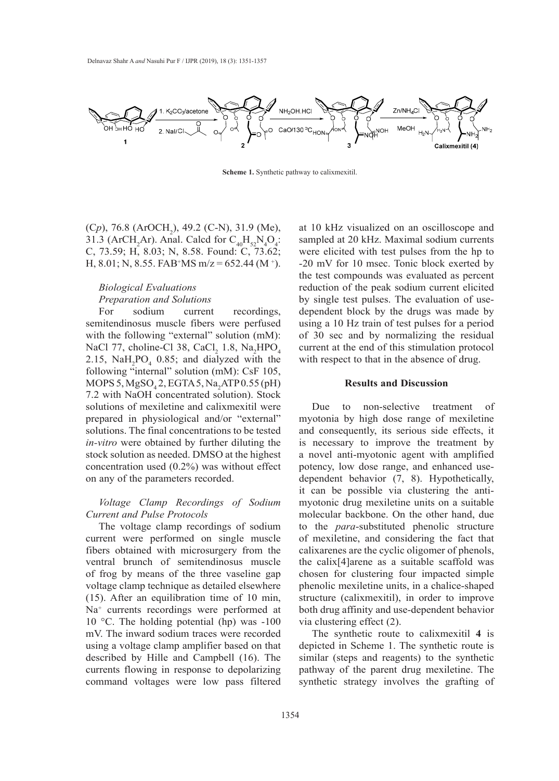

**Scheme 1.** Synthetic pathway to calixmexitil.

(C*p*), 76.8 (ArOCH<sub>2</sub>), 49.2 (C-N), 31.9 (Me), 31.3 (ArCH<sub>2</sub>Ar). Anal. Calcd for  $C_{40}H_{52}N_4O_4$ : C, 73.59; H, 8.03; N, 8.58. Found: C, 73.62; H, 8.01; N, 8.55. FAB<sup>+</sup>MS m/z = 652.44 (M<sup>+</sup>).

# *Biological Evaluations*

# *Preparation and Solutions*

For sodium current recordings, semitendinosus muscle fibers were perfused with the following "external" solution (mM): NaCl 77, choline-Cl 38, CaCl<sub>2</sub> 1.8, Na<sub>2</sub>HPO<sub>4</sub> 2.15,  $\text{NaH}_2\text{PO}_4$  0.85; and dialyzed with the following "internal" solution (mM): CsF 105, MOPS 5,  $MgSO_4$ 2, EGTA 5, Na<sub>2</sub>ATP 0.55 (pH) 7.2 with NaOH concentrated solution). Stock solutions of mexiletine and calixmexitil were prepared in physiological and/or "external" solutions. The final concentrations to be tested *in-vitro* were obtained by further diluting the stock solution as needed. DMSO at the highest concentration used (0.2%) was without effect on any of the parameters recorded.

# *Voltage Clamp Recordings of Sodium Current and Pulse Protocols*

The voltage clamp recordings of sodium current were performed on single muscle fibers obtained with microsurgery from the ventral brunch of semitendinosus muscle of frog by means of the three vaseline gap voltage clamp technique as detailed elsewhere (15). After an equilibration time of 10 min, Na+ currents recordings were performed at 10 °C. The holding potential (hp) was  $-100$ mV. The inward sodium traces were recorded using a voltage clamp amplifier based on that described by Hille and Campbell (16). The currents flowing in response to depolarizing command voltages were low pass filtered

at 10 kHz visualized on an oscilloscope and sampled at 20 kHz. Maximal sodium currents were elicited with test pulses from the hp to -20 mV for 10 msec. Tonic block exerted by the test compounds was evaluated as percent reduction of the peak sodium current elicited by single test pulses. The evaluation of usedependent block by the drugs was made by using a 10 Hz train of test pulses for a period of 30 sec and by normalizing the residual current at the end of this stimulation protocol with respect to that in the absence of drug.

# **Results and Discussion**

Due to non-selective treatment of myotonia by high dose range of mexiletine and consequently, its serious side effects, it is necessary to improve the treatment by a novel anti-myotonic agent with amplified potency, low dose range, and enhanced usedependent behavior (7, 8). Hypothetically, it can be possible via clustering the antimyotonic drug mexiletine units on a suitable molecular backbone. On the other hand, due to the *para*-substituted phenolic structure of mexiletine, and considering the fact that calixarenes are the cyclic oligomer of phenols, the calix[4]arene as a suitable scaffold was chosen for clustering four impacted simple phenolic mexiletine units, in a chalice-shaped structure (calixmexitil), in order to improve both drug affinity and use-dependent behavior via clustering effect (2).

The synthetic route to calixmexitil **4** is depicted in Scheme 1. The synthetic route is similar (steps and reagents) to the synthetic pathway of the parent drug mexiletine. The synthetic strategy involves the grafting of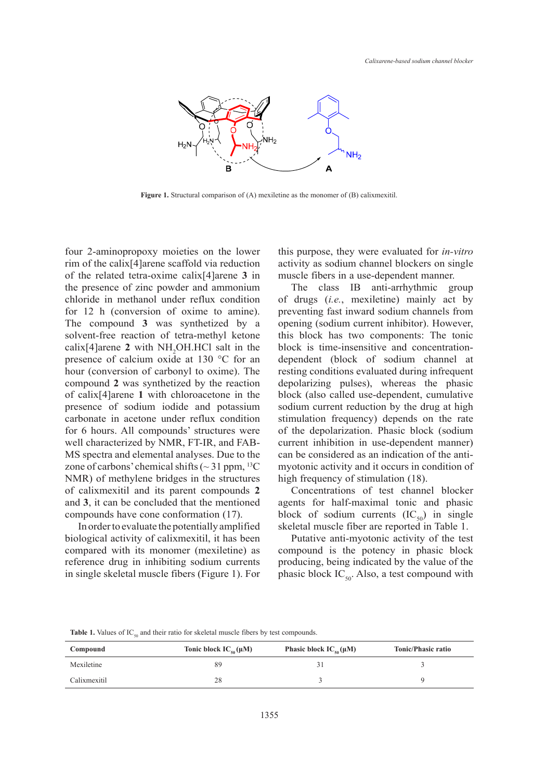

**Figure 1**. Structural comparison of (A) mexiletine as the monomer of (B) calixmexitil. **Figure 1.** Structural comparison of (A) mexiletine as the monomer of (B) calixmexitil.

four 2-aminopropoxy moieties on the lower rim of the calix[4]arene scaffold via reduction of the related tetra-oxime calix<sup>[4]</sup>arene **3** in muscle fibers in a use-dependent manner. the presence of zinc powder and ammonium chloride in methanol under reflux condition for 12 h (conversion of oxime to amine). The compound **3** was synthetized by a solvent-free reaction of tetra-methyl ketone  $cal[4]$ arene 2 with NH<sub>2</sub>OH.HCl salt in the presence of calcium oxide at 130 °C for an hour (conversion of carbonyl to oxime). The compound **2** was synthetized by the reaction  $\frac{1}{2}$  was symmetrized by the reaction appointing pulse. presence of sodium iodide and potassium carbonate in acetone under reflux condition for 6 hours. All compounds' structures were well characterized by NMR, FT-IR, and FAB-MS spectra and elemental analyses. Due to the zone of carbons' chemical shifts ( $\sim$  31 ppm,  $^{13}C$ NMR) of methylene bridges in the structures of calixmexitil and its parent compounds 2 Concentrations of test channel block and **3**, it can be concluded that the mentioned compounds have cone conformation (17). in 2-aminopropoxy moieties on the lower this purpose, they were evaluated for *in-vitro* 

In order to evaluate the potentially amplified biological activity of calixmexitil, it has been compared with its monomer (mexiletine) as reference drug in inhibiting sodium currents in single skeletal muscle fibers (Figure 1). For activity as sodium channel blockers on single muscle fibers in a use-dependent manner.

The class IB anti-arrhythmic group loride in methanol under reflux condition of drugs (*i.e.*, mexiletine) mainly act by preventing fast inward sodium channels from e compound 3 was synthetized by a opening (sodium current inhibitor). However, this block has two components: The tonic ix[4]arene 2 with NH<sub>2</sub>OH.HCl salt in the block is time-insensitive and concentrationdependent (block of sodium channel at In the conversion of carbonyl to oxime). The resting conditions evaluated during infrequent ur (conversion of carbonyl to oxime). The depolarizing pulses), whereas the phasic block (also called use-dependent, cumulative sodium current reduction by the drug at high bonate in acetone under reflux condition stimulation frequency) depends on the rate of the depolarization. Phasic block (sodium Il characterized by NMR, FT-IR, and FAB- current inhibition in use-dependent manner) can be considered as an indication of the antine of carbons' chemical shifts  $\sim 31$  ppm, <sup>13</sup>C myotonic activity and it occurs in condition of high frequency of stimulation (18).

> Concentrations of test channel blocker agents for half-maximal tonic and phasic block of sodium currents  $(IC_{50})$  in single skeletal muscle fiber are reported in Table 1.

> Putative anti-myotonic activity of the test compound is the potency in phasic block producing, being indicated by the value of the phasic block  $IC_{50}$ . Also, a test compound with

**Table 1.** Values of  $IC_{50}$  and their ratio for skeletal muscle fibers by test compounds.

| Compound     | Tonic block $IC_{50}(\mu M)$ | Phasic block $IC_{50}(\mu M)$ | <b>Tonic/Phasic ratio</b> |
|--------------|------------------------------|-------------------------------|---------------------------|
| Mexiletine   | 89                           |                               |                           |
| Calixmexitil | 28                           |                               |                           |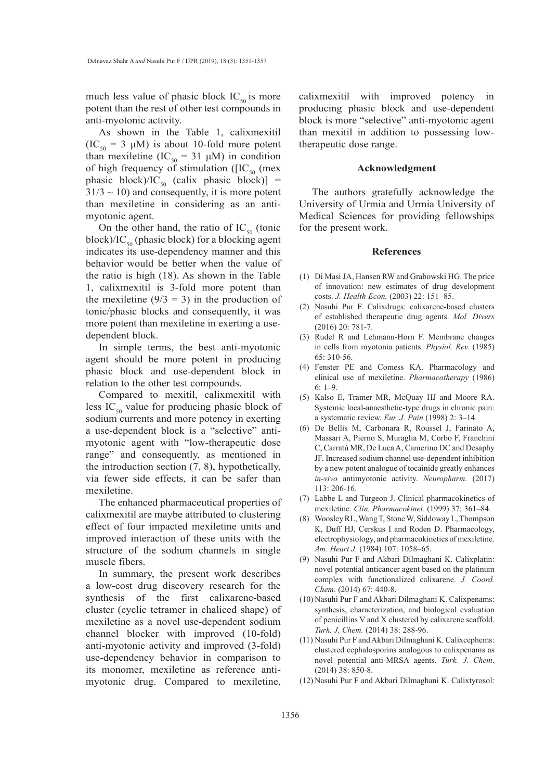much less value of phasic block  $IC_{50}$  is more potent than the rest of other test compounds in anti-myotonic activity.

As shown in the Table 1, calixmexitil  $(IC_{50} = 3 \mu M)$  is about 10-fold more potent than mexiletine (IC<sub>50</sub> = 31 μM) in condition of high frequency of stimulation ( $[IC_{50}$  (mex phasic block)/IC<sub>50</sub> (calix phasic block)] =  $31/3 \sim 10$ ) and consequently, it is more potent than mexiletine in considering as an antimyotonic agent.

On the other hand, the ratio of  $IC_{50}$  (tonic block)/IC<sub>50</sub> (phasic block) for a blocking agent indicates its use-dependency manner and this behavior would be better when the value of the ratio is high (18). As shown in the Table 1, calixmexitil is 3-fold more potent than the mexiletine  $(9/3 = 3)$  in the production of tonic/phasic blocks and consequently, it was more potent than mexiletine in exerting a usedependent block.

In simple terms, the best anti-myotonic agent should be more potent in producing phasic block and use-dependent block in relation to the other test compounds.

Compared to mexitil, calixmexitil with less  $IC_{50}$  value for producing phasic block of sodium currents and more potency in exerting a use-dependent block is a "selective" antimyotonic agent with "low-therapeutic dose range" and consequently, as mentioned in the introduction section (7, 8), hypothetically, via fewer side effects, it can be safer than mexiletine.

The enhanced pharmaceutical properties of calixmexitil are maybe attributed to clustering effect of four impacted mexiletine units and improved interaction of these units with the structure of the sodium channels in single muscle fibers.

In summary, the present work describes a low-cost drug discovery research for the synthesis of the first calixarene-based cluster (cyclic tetramer in chaliced shape) of mexiletine as a novel use-dependent sodium channel blocker with improved (10-fold) anti-myotonic activity and improved (3-fold) use-dependency behavior in comparison to its monomer, mexiletine as reference antimyotonic drug. Compared to mexiletine,

calixmexitil with improved potency in producing phasic block and use-dependent block is more "selective" anti-myotonic agent than mexitil in addition to possessing lowtherapeutic dose range.

### **Acknowledgment**

The authors gratefully acknowledge the University of Urmia and Urmia University of Medical Sciences for providing fellowships for the present work.

#### **References**

- Di Masi JA, Hansen RW and Grabowski HG. The price (1) of innovation: new estimates of drug development costs. *J. Health Econ.* (2003) 22: 151−85.
- (2) Nasuhi Pur F. Calixdrugs: calixarene-based clusters of established therapeutic drug agents. *Mol. Divers* (2016) 20: 781-7.
- (3) Rudel R and Lehmann-Horn F. Membrane changes in cells from myotonia patients. *Physiol. Rev.* (1985) 65: 310-56.
- Fenster PE and Comess KA. Pharmacology and (4) clinical use of mexiletine. *Pharmacotherapy* (1986) 6: 1–9.
- (5) Kalso E, Tramer MR, McQuay HJ and Moore RA. Systemic local-anaesthetic-type drugs in chronic pain: a systematic review. *Eur. J. Pain* (1998) 2: 3–14.
- De Bellis M, Carbonara R, Roussel J, Farinato A, (6) Massari A, Pierno S, Muraglia M, Corbo F, Franchini C, Carratù MR, De Luca A, Camerino DC and Desaphy JF. Increased sodium channel use-dependent inhibition by a new potent analogue of tocainide greatly enhances *in-vivo* antimyotonic activity. *Neuropharm.* (2017) 113: 206-16.
- Labbe L and Turgeon J. Clinical pharmacokinetics of (7) mexiletine. *Clin. Pharmacokinet*. (1999) 37: 361–84.
- Woosley RL, Wang T, Stone W, Siddoway L, Thompson K, Duff HJ, Cerskus I and Roden D. Pharmacology, electrophysiology, and pharmacokinetics of mexiletine. *Am. Heart J.* (1984) 107: 1058–65. (8)
- (9) Nasuhi Pur F and Akbari Dilmaghani K. Calixplatin: novel potential anticancer agent based on the platinum complex with functionalized calixarene. *J. Coord. Chem*. (2014) 67: 440-8.
- (10) Nasuhi Pur F and Akbari Dilmaghani K. Calixpenams: synthesis, characterization, and biological evaluation of penicillins V and X clustered by calixarene scaffold. *Turk. J. Chem.* (2014) 38: 288-96.
- (11) Nasuhi Pur F and Akbari Dilmaghani K. Calixcephems: clustered cephalosporins analogous to calixpenams as novel potential anti-MRSA agents. *Turk. J. Chem*. (2014) 38: 850-8.
- (12) Nasuhi Pur F and Akbari Dilmaghani K. Calixtyrosol: